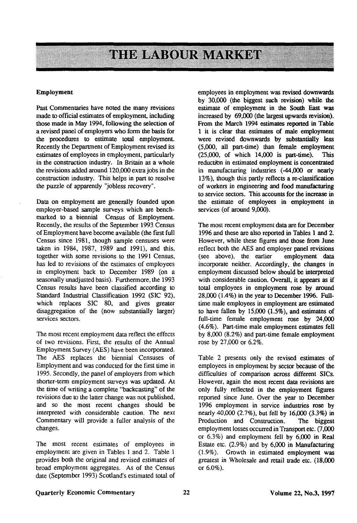# **THE LABOUR MARKET**

#### **Employment**

Past Commentaries have noted the many revisions made to official estimates of employment, including those made in May 1994, following the selection of a revised panel of employers who form the basis for the procedures to estimate total employment. Recently the Department of Employment revised its estimates of employees in employment, particularly in the construction industry. In Britain as a whole the revisions added around 120,000 extra jobs in the construction industry. This helps in part to resolve the puzzle of apparently "jobless recovery".

Data on employment are generally founded upon employer-based sample surveys which are benchmarked to a biennial Census of Employment. Recently, the results of the September 1993 Census of Employment have become available (the first full Census since 1981, though sample censuses were taken in 1984, 1987, 1989 and 1991), and this, together with some revisions to the 1991 Census, has led to revisions of the estimates of employees in employment back to December 1989 (on a seasonally unadjusted basis). Furthermore, the 1993 Census results have been classified according to Standard Industrial Classification 1992 (SIC 92), which replaces SIC 80, and gives greater disaggregation of the (now substantially larger) services sectors.

The most recent employment data reflect the effects of two revisions. First, the results of the Annual Employment Survey (AES) have been incorporated. The AES replaces the biennial Censuses of Employment and was conducted for the first time in 1995. Secondly, the panel of employers from which shorter-term employment surveys was updated. At the time of writing a complete "backcasting" of the revisions due to the latter change was not published, and so the most recent changes should be interpreted with considerable caution. The next Commentary will provide a fuller analysis of the changes.

The most recent estimates of employees in employment are given in Tables 1 and 2. Table 1 provides both the original and revised estimates of broad employment aggregates. As of the Census date (September 1993) Scotland's estimated total of employees in employment was revised downwards by 30,000 (the biggest such revision) while the estimate of employment in the South East was increased by 69,000 (the largest upwards revision). From the March 1994 estimates reported in Table 1 it is clear that estimates of male employment were revised downwards by substantially less (5,000, all part-time) than female employment (25,000, of which 14,000 is part-time). This reduction in estimated employment is concentrated in manufacturing industries (-44,000 or nearly 13%), though this partly reflects a re-classification of workers in engineering and food manufacturing to service sectors. This accounts for the increase in the estimate of employees in employment in services (of around 9,000).

The most recent employment data are for December 1996 and these are also reported in Tables 1 and 2. However, while these figures and those from June reflect both the AES and employer panel revisions (see above), the earlier employment data incorporate neither. Accordingly, the changes in employment discussed below should be interpreted with considerable caution. Overall, it appears as if total employees in employment rose by around 28,000 (1.4%) in the year to December 1996. Fulltime male employees in employment are estimated to have fallen by 15,000 (1.5%), and estimates of full-time female employment rose by 24,000 (4.6%). Part-time male employment estimates fell by 8,000 (8.2%) and part-time female employment rose by 27,000 or 6.2%.

Table 2 presents only the revised estimates of employees in employment by sector because of the difficulties of comparison across different SICs. However, again the most recent data revisions are only fully reflected in the employment figures reported since June. Over the year to December 1996 employment in service industries rose by nearly 40,000 (2.7%), but fell by 16,000 (3.3%) in Production and Construction. The biggest employment losses occurred in Transport etc. (7,000 or 6.3%) and employment fell by 6,000 in Real Estate etc. (2.9%) and by 6,000 in Manufacturing (1.9%). Growth in estimated employment was greatest in Wholesale and retail trade etc. (18,000 or 6.0%).

## Quarterly Economic Commentary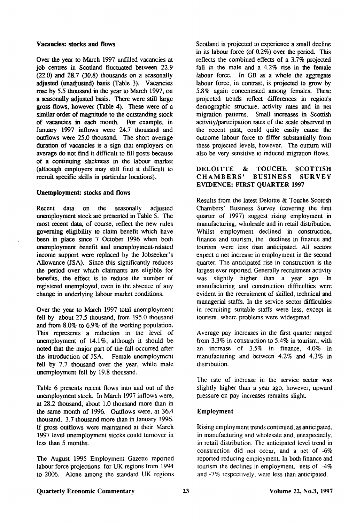### **Vacancies: stocks and flows**

Over the year to March 1997 unfilled vacancies at job centres in Scotland fluctuated between 22.9  $(22.0)$  and  $28.7$   $(30.8)$  thousands on a seasonally adjusted (unadjusted) basis (Table 3). Vacancies rose by 5.5 thousand in the year to March 1997, on a seasonally adjusted basis. There were still large gross flows, however (Table 4). These were of a similar order of magnitude to the outstanding stock of vacancies in each month. For example, in January 1997 inflows were 24.7 thousand and outflows were 25.0 thousand. The short average duration of vacancies is a sign that employers on average do not find it difficult to fill posts because of a continuing slackness in the labour market (although employers may still find it difficult to recruit specific skills in particular locations).

## **Unemployment:** stocks **and** flows

Recent data on the seasonally adjusted unemployment stock are presented in Table 5. The most recent data, of course, reflect the new rules governing eligibility to claim benefit which have been in place since 7 October 1996 when both unemployment benefit and unemployment-related income support were replaced by the Jobseeker's Allowance (JSA). Since this significantly reduces the period over which claimants are eligible for benefits, the effect is to reduce the number of registered unemployed, even in the absence of any change in underlying labour market conditions.

Over the year to March 1997 total unemployment fell by about 27.5 thousand, from 195.0 thousand and from 8.0% to 6.9% of the working population. This represents a reduction in the level of unemployment of 14.1%, although it should be noted that the major part of the fall occurred after the introduction of JSA. Female unemployment fell by 7.7 thousand over the year, while male unemployment fell by 19.8 thousand.

Table 6 presents recent flows into and out of the unemployment stock. In March 1997 inflows were, at 28.2 thousand, about 1.0 thousand more than in the same month of 1996. Outflows were, at 36.4 thousand, 3.7 thousand more than in January 1996. If gross outflows were maintained at their March 1997 level unemployment stocks could turnover in less than 5 months.

The August 1995 Employment Gazette reported labour force projections for UK regions from 1994 to 2006. Alone among the standard UK regions Scotland is projected to experience a small decline in its labour force (of 0.2%) over the period. This reflects the combined effects of a 3.7% projected fall in the male and a 4.2% rise in the female labour force. In GB as a whole the aggregate labour force, in contrast, is projected to grow by 5.8% again concentrated among females. These projected trends reflect differences in region's demographic structure, activity rates and in net migration patterns. Small increases in Scottish activity/participation rates of the scale observed in the recent past, could quite easily cause the outcome labour force to differ substantially from these projected levels, however. The outturn will also be very sensitive to induced migration flows.

## DELOITTE & TOUCHE SCOTTISH<br>CHAMBERS' BUSINESS SURVEY CHAMBERS' BUSINESS SURVEY EVIDENCE: FIRST QUARTER 1997

Results from the latest Deloitte & Touche Scottish Chambers' Business Survey (covering the first quarter of 1997) suggest rising employment in manufacturing, wholesale and in retail distribution. Whilst employment declined in construction, finance and tourism, the declines in finance and tourism were less than anticipated. All sectors expect a net increase in employment in the second quarter. The anticipated rise in construction is the largest ever reported. Generally recruitment activity was slightly higher than a year ago. In manufacturing and construction difficulties were evident in the recruitment of skilled, technical and managerial staffs. In the service sector difficulties in recruiting suitable staffs were less, except in tourism, where problems were widespread.

Average pay increases in the first quarter ranged from 3.3% in construction to 5.4% in tourism, with an increase of 3.5% in finance, 4.0% in manufacturing and between 4.2% and 4.3% in distribution.

The rate of increase in the service sector was slightly higher than a year ago, however, upward pressure on pay increases remains slight.

## Employment

Rising employment trends continued, as anticipated, in manufacturing and wholesale and, unexpectedly, in retail distribution. The anticipated level trend in construction did not occur, and a net of -6% reported reducing employment. In both finance and tourism the declines in employment, nets of  $-4\%$ and -7% respectively, were less than anticipated.

## Quarterly Economic Commentary 23 Volume 22, No.3, 1997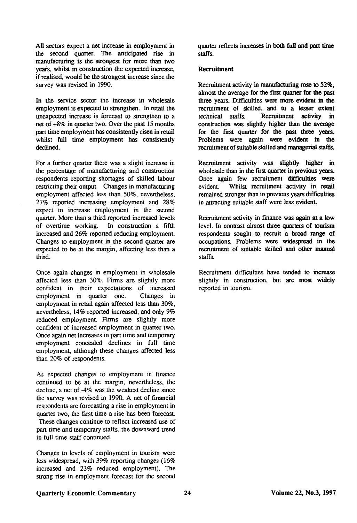All sectors expect a net increase in employment in the second quarter. The anticipated rise in manufacturing is the strongest for more than two years, whilst in construction the expected increase, if realised, would be the strongest increase since the survey was revised in 1990.

In the service sector the increase in wholesale employment is expected to strengthen. In retail the unexpected increase is forecast to strengthen to a net of +8% in quarter two. Over the past 15 months part time employment has consistently risen in retail whilst full time employment has consistently declined.

For a further quarter there was a slight increase in the percentage of manufacturing and construction respondents reporting shortages of skilled labour restricting their output. Changes in manufacturing employment affected less than 50%, nevertheless, 27% reported increasing employment and 28% expect to increase employment in the second quarter. More than a third reported increased levels of overtime working. In construction a fifth increased and 26% reported reducing employment. Changes to employment in the second quarter are expected to be at the margin, affecting less than a third.

Once again changes in employment in wholesale affected less than 30%. Firms are slightly more confident in their expectations of increased employment in quarter one. Changes in employment in retail again affected less than 30%, nevertheless, 14% reported increased, and only 9% reduced employment. Firms are slightly more confident of increased employment in quarter two. Once again net increases in part time and temporary employment concealed declines in full time employment, although these changes affected less than 20% of respondents.

As expected changes to employment in finance continued to be at the margin, nevertheless, the decline, a net of -4% was the weakest decline since the survey was revised in 1990. A net of financial respondents are forecasting a rise in employment in quarter two, the first time a rise has been forecast. These changes continue to reflect increased use of part time and temporary staffs, the downward trend in full time staff continued.

Changes to levels of employment in tourism were less widespread, with 39% reporting changes (16% increased and 23% reduced employment). The strong rise in employment forecast for the second

quarter reflects increases in **both** full and **part time**  staffs.

### **Recruitment**

Recruitment activity in manufacturing rose to 52%, almost the average for the first quarter for the past three years. Difficulties were more evident in the recruitment of skilled, and to a lesser extent technical staffs. Recruitment activity in construction was slighdy higher than the average for the first quarter for the past three years. Problems were again were evident in the recruitment of suitable skilled and managerial staffs.

Recruitment activity was slightly higher in wholesale than in the first quarter in previous years. Once again few recruitment difficulties were evident. Whilst recruitment activity in retail remained stronger than in previous years difficulties in attracting suitable staff were less evident

Recruitment activity in finance was again at a low level. In contrast almost three quarters of tourism respondents sought to recruit a broad range of occupations. Problems were widespread in the recruitment of suitable skilled and other manual staffs.

Recruitment difficulties have tended to increase slightly in construction, but are most widely reported in tourism.

## Quarterly Economic Commentary **24** 24 Volume 22, No.3, 1997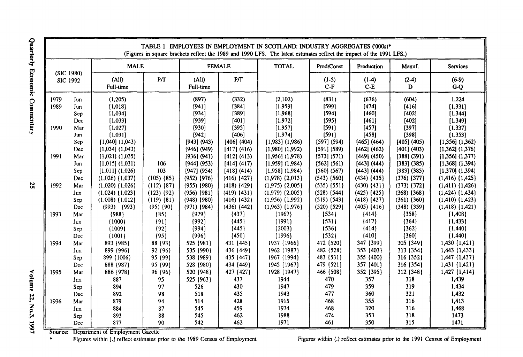|                              | TABLE 1 EMPLOYEES IN EMPLOYMENT IN SCOTLAND: INDUSTRY AGGREGATES ('000s)*<br>(Figures in square brackets reflect the 1989 and 1990 LFS. The latest estimates reflect the impact of the 1991 LFS.) |                                                                                                                                     |                |                                                                                                   |                                                                                                 |                                                                                                                                     |                                                                                                 |                                                                                                   |                                                                                                   |                                                                                                                                        |  |  |
|------------------------------|---------------------------------------------------------------------------------------------------------------------------------------------------------------------------------------------------|-------------------------------------------------------------------------------------------------------------------------------------|----------------|---------------------------------------------------------------------------------------------------|-------------------------------------------------------------------------------------------------|-------------------------------------------------------------------------------------------------------------------------------------|-------------------------------------------------------------------------------------------------|---------------------------------------------------------------------------------------------------|---------------------------------------------------------------------------------------------------|----------------------------------------------------------------------------------------------------------------------------------------|--|--|
| (SIC 1980)                   |                                                                                                                                                                                                   | <b>MALE</b>                                                                                                                         |                |                                                                                                   | <b>FEMALE</b>                                                                                   | <b>TOTAL</b>                                                                                                                        | Prod/Const                                                                                      | Production                                                                                        | Manuf.                                                                                            | <b>Services</b>                                                                                                                        |  |  |
|                              | SIC 1992                                                                                                                                                                                          | (A  )<br>Full-time                                                                                                                  | P/T            | (A  )<br>Full-time                                                                                | P/T                                                                                             |                                                                                                                                     | $(1-5)$<br>$C-F$                                                                                | $(1-4)$<br>$C-E$                                                                                  | $(2-4)$<br>D                                                                                      | $(6-9)$<br>$G-Q$                                                                                                                       |  |  |
| 1979<br>1989<br>1990<br>1991 | Jun<br>Jun<br>Sep<br>Dec<br>Маг<br>Jun<br>Sep<br>Dec<br>Mar                                                                                                                                       | (1,205)<br>[1,018]<br>[1,034]<br>[1,033]<br>[1,027]<br>[1,031]<br>$[1,040]$ $(1,043)$<br>$[1,034]$ $(1,043)$<br>$[1,021]$ $(1,035)$ |                | (897)<br>[941]<br>[934]<br>[939]<br>[930]<br>[942]<br>[943] (943)<br>$[946]$ (949)<br>[936] (941) | (332)<br>[384]<br>[389]<br>[401]<br>[395]<br>[406]<br>[406] (404)<br>[417] (416)<br>[412] (413) | (2,102)<br>[1,959]<br>[1,968]<br>[1,972]<br>[1,957]<br>[1,974]<br>$[1,983]$ $(1,986)$<br>$[1,980]$ $(1,992)$<br>$[1,956]$ $(1,978)$ | (831)<br>[599]<br>[594]<br>[595]<br>[591]<br>[591]<br>[597] (594)<br>[591] (589)<br>[573] (571) | (676)<br>[474]<br>[460]<br>[461]<br>[457]<br>[458]<br>[465] (464)<br>[462] (462)<br>$[449]$ (450) | (604)<br>[416]<br>[402]<br>[402]<br>[397]<br>[398]<br>[405] (405)<br>[401] (403)<br>$[388]$ (391) | 1.224<br>[1, 331]<br>[1, 344]<br>[1, 349]<br>[1, 337]<br>[1, 353]<br>$[1,356]$ $(1,362)$<br>$[1,362]$ $(1,376)$<br>$[1,356]$ $(1,377)$ |  |  |
| 1992                         | Jun                                                                                                                                                                                               | $[1,015]$ (1,031)                                                                                                                   | 106            | [944] (953)                                                                                       | [414] (417)                                                                                     | $[1,959]$ (1,984)                                                                                                                   | [562] (561)                                                                                     | [443] (444)                                                                                       | [383] (385)                                                                                       | $[1,368]$ $(1,394)$                                                                                                                    |  |  |
|                              | Sep                                                                                                                                                                                               | $[1,011]$ $(1,026)$                                                                                                                 | 103            | $[947]$ (954)                                                                                     | [418] (414)                                                                                     | $[1,958]$ (1,984)                                                                                                                   | $[560]$ (567)                                                                                   | [443] (444)                                                                                       | [383] (385)                                                                                       | $[1,370]$ (1,394)                                                                                                                      |  |  |
|                              | Dec                                                                                                                                                                                               | $(1,026)$ $(1,037)$                                                                                                                 | $(105)$ $(85)$ | $(952)$ $(976)$                                                                                   | $(416)$ $\{427\}$                                                                               | $(1,978)$ $\{2,013\}$                                                                                                               | $(543)$ $(560)$                                                                                 | $(434)$ $\{435\}$                                                                                 | $(376)$ $\{377\}$                                                                                 | $(1,416)$ $(1,425)$                                                                                                                    |  |  |
|                              | Mar                                                                                                                                                                                               | $(1,020)$ $(1,026)$                                                                                                                 | $(112)$ $(87)$ | $(955)$ $(980)$                                                                                   | $(418)$ $\{429\}$                                                                               | $(1,975)$ $(2,005)$                                                                                                                 | $(535)$ $\{551\}$                                                                               | $(430)$ $(431)$                                                                                   | $(373)$ $(372)$                                                                                   | $(1,411)$ $\{1,426\}$                                                                                                                  |  |  |
|                              | Jun                                                                                                                                                                                               | $(1,024)$ $\{1,023\}$                                                                                                               | $(123)$ $(92)$ | $(956)$ $(981)$                                                                                   | $(419)$ $\{431\}$                                                                               | $(1,979)$ $(2,005)$                                                                                                                 | $(528)$ $[544]$                                                                                 | $(425)$ $(425)$                                                                                   | $(368)$ $(368)$                                                                                   | $(1,424)$ $(1,434)$                                                                                                                    |  |  |
|                              | Sep                                                                                                                                                                                               | $(1,008)$ $(1,012)$                                                                                                                 | $(119)$ $(81)$ | $(948)$ $(980)$                                                                                   | $(416)$ $\{432\}$                                                                               | $(1,956)$ $\{1,992\}$                                                                                                               | $(519)$ $(543)$                                                                                 | $(418)$ $(427)$                                                                                   | $(361)$ $\{360\}$                                                                                 | $(1,410)$ $(1,423)$                                                                                                                    |  |  |
|                              | Dec                                                                                                                                                                                               | $(993)$ $(993)$                                                                                                                     | $(95)$ $(90)$  | $(971)$ $(984)$                                                                                   | $(436)$ $[442]$                                                                                 | $(1,963)$ $(1,976)$                                                                                                                 | $(520)$ $\{529\}$                                                                               | $(405)$ $(416)$                                                                                   | $(348)$ $(359)$                                                                                   | $(1,418)$ $(1,421)$                                                                                                                    |  |  |
| 1993                         | Mar                                                                                                                                                                                               | ${988}$                                                                                                                             | ${85}$         | (979)                                                                                             | ${437}$                                                                                         | (1967)                                                                                                                              | ${534}$                                                                                         | ${414}$                                                                                           | ${358}$                                                                                           | ${1,408}$                                                                                                                              |  |  |
|                              | Jun                                                                                                                                                                                               | (1000)                                                                                                                              | ${91}$         | ${992}$                                                                                           | ${445}$                                                                                         | (1991)                                                                                                                              | ${531}$                                                                                         | ${417}$                                                                                           | (364)                                                                                             | ${1,433}$                                                                                                                              |  |  |
|                              | Sep                                                                                                                                                                                               | ${1009}$                                                                                                                            | ${92}$         | ${994}$                                                                                           | [445]                                                                                           | ${2003}$                                                                                                                            | (536)                                                                                           | (414)                                                                                             | ${362}$                                                                                           | ${1,440}$                                                                                                                              |  |  |
|                              | Dec                                                                                                                                                                                               | ${1001}$                                                                                                                            | ${95}$         | (996)                                                                                             | ${450}$                                                                                         | ${1996}$                                                                                                                            | (532)                                                                                           | ${410}$                                                                                           | ${360}$                                                                                           | ${1,440}$                                                                                                                              |  |  |
| 1994                         | Mar                                                                                                                                                                                               | 893 (985)                                                                                                                           | 88 (93)        | 525 (981)                                                                                         | 431 (445)                                                                                       | 1937 (1966)                                                                                                                         | 472 (520)                                                                                       | 347 (399)                                                                                         | 305 (349)                                                                                         | 1,430 [1,421]                                                                                                                          |  |  |
|                              | Jun                                                                                                                                                                                               | 899 (996)                                                                                                                           | 92 (96)        | 535 (990)                                                                                         | 436 (449)                                                                                       | 1962 (1987)                                                                                                                         | 482 (528)                                                                                       | 353 [403]                                                                                         | 313 (354)                                                                                         | 1,443 (1,433)                                                                                                                          |  |  |
|                              | Sep                                                                                                                                                                                               | 899 {1006}                                                                                                                          | 95 (99)        | 538 (989)                                                                                         | 435 (447)                                                                                       | 1967 (1994)                                                                                                                         | 483 (531)                                                                                       | 355 (400)                                                                                         | 316 (352)                                                                                         | 1,447 (1,437)                                                                                                                          |  |  |
|                              | Dec                                                                                                                                                                                               | 888 (987)                                                                                                                           | 95 (99)        | 528 (980)                                                                                         | 434 (449)                                                                                       | 1945 (1967)                                                                                                                         | 479 (521)                                                                                       | 357 (401)                                                                                         | 316 (354)                                                                                         | 1,431 (1,421)                                                                                                                          |  |  |
| 1995                         | Mar                                                                                                                                                                                               | 886 [978]                                                                                                                           | 96 (96)        | 520 {948}                                                                                         | 427 (427)                                                                                       | 1928 (1947)                                                                                                                         | 466 (508)                                                                                       | 352 [395]                                                                                         | 312 (348)                                                                                         | 1,427 (1,414)                                                                                                                          |  |  |
|                              | Jun                                                                                                                                                                                               | 887                                                                                                                                 | 95             | 525 (963)                                                                                         | 437                                                                                             | 1944                                                                                                                                | 470                                                                                             | 357                                                                                               | 318                                                                                               | 1,439                                                                                                                                  |  |  |
|                              | Sep                                                                                                                                                                                               | 894                                                                                                                                 | 97             | 526                                                                                               | 430                                                                                             | 1947                                                                                                                                | 479                                                                                             | 359                                                                                               | 319                                                                                               | 1.434                                                                                                                                  |  |  |
|                              | Dec                                                                                                                                                                                               | 892                                                                                                                                 | 98             | 518                                                                                               | 435                                                                                             | 1943                                                                                                                                | 477                                                                                             | 360                                                                                               | 321                                                                                               | 1,432                                                                                                                                  |  |  |
| 1996                         | Mar                                                                                                                                                                                               | 879                                                                                                                                 | 94             | 514                                                                                               | 428                                                                                             | 1915                                                                                                                                | 468                                                                                             | 355                                                                                               | 316                                                                                               | 1,413                                                                                                                                  |  |  |
|                              | Jun                                                                                                                                                                                               | 884                                                                                                                                 | 87             | 545                                                                                               | 459                                                                                             | 1974                                                                                                                                | 468                                                                                             | 320                                                                                               | 316                                                                                               | 1,468                                                                                                                                  |  |  |
|                              | Sep                                                                                                                                                                                               | 893                                                                                                                                 | 88             | 545                                                                                               | 462                                                                                             | 1988                                                                                                                                | 474                                                                                             | 353                                                                                               | 318                                                                                               | 1473                                                                                                                                   |  |  |
|                              | Dec                                                                                                                                                                                               | 877                                                                                                                                 | 90             | 542                                                                                               | 462                                                                                             | 1971                                                                                                                                | 461                                                                                             | 350                                                                                               | 315                                                                                               | 1471                                                                                                                                   |  |  |

Source

Figures within [.] reflect estimates prior to the 1989 Census of Employment Figures within (.) reflect

Quart **3 o 3 o mmentary** 

**in**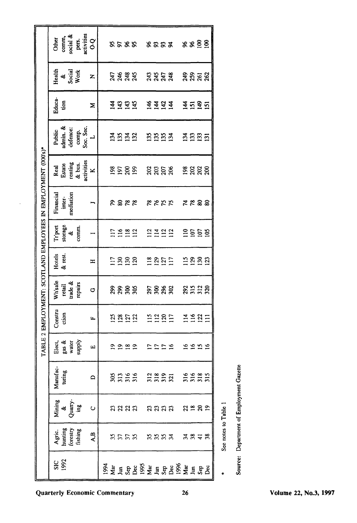|                                                       | pers.<br>activities<br>comm,<br>social &<br>Other    | $\overline{O}$           |                                    | ぷぷぷぷ             |                       |  |              | 8883      |  | 88 <u>88</u>       |  |
|-------------------------------------------------------|------------------------------------------------------|--------------------------|------------------------------------|------------------|-----------------------|--|--------------|-----------|--|--------------------|--|
|                                                       | Health<br>&<br>Social<br>Work                        | Z                        |                                    | 3333<br>2333     |                       |  | 3353<br>3353 |           |  | <del>ន</del> ិននិន |  |
|                                                       | Educa-<br>isn                                        | Σ                        |                                    |                  |                       |  | FF57         |           |  | <b>HERE</b>        |  |
|                                                       | admin. &<br>Soc. Sec.<br>defence:<br>Public<br>comp. | $\overline{\phantom{0}}$ |                                    | <b>ESES</b>      |                       |  | 5553         |           |  | <u>ងនួន ដ</u>      |  |
| EMPLOYMENT: SCOTLAND EMPLOYEES IN EMPLOYMENT (000's)* | activities<br>renting<br>$\&$ bus.<br>Real<br>Estate | ×                        |                                    | ន្ទី ខ្លួន       |                       |  | ន្តន្តន្ត    |           |  | ន្តន្តន្ត          |  |
|                                                       | mediation<br>Financial<br>inter-                     |                          |                                    | 8888             |                       |  | <b>RRKK</b>  |           |  | <b>2238</b>        |  |
|                                                       | $rac{8}{x}$<br>Trport<br>comm.                       |                          |                                    | 119812           |                       |  | 2322         |           |  | <u>음효함</u>         |  |
|                                                       | Hotels<br>& rest.                                    | $\mathbf{H}$             |                                    | 1382<br>1392     |                       |  | 2852         |           |  | 1223               |  |
|                                                       | Wh'sale<br>trade &<br>repairs<br>retail              | Ò                        |                                    | ຂີສິສ            |                       |  | ត្តន្តន្ត    |           |  | <b>2232</b>        |  |
|                                                       | Constru<br>ction                                     | Щ                        |                                    | <u>នី ខ្លួ ដ</u> |                       |  | 1126<br>1125 |           |  | 1521               |  |
| <b>TABLE 2</b>                                        | Elect,<br>gas &<br>water<br>supply                   | щ                        |                                    |                  | <b>ASAS SASA</b>      |  |              |           |  | 5555               |  |
|                                                       | Manufac<br>turing                                    | $\Omega$                 |                                    |                  | <b>SERE REER EEST</b> |  |              |           |  |                    |  |
|                                                       | Mining<br>&<br>Quarry-<br>ing                        | Ō                        |                                    |                  | នឧដន                  |  |              | aaaa asas |  |                    |  |
|                                                       | Agric.<br>hunting<br>forestry<br>fishing             | A.B                      |                                    |                  | ERR RER               |  |              |           |  | <b>3848</b>        |  |
|                                                       | <b>SIC</b><br>1992                                   |                          | <b>SSA E SSS ME E SSS ME E SSS</b> |                  |                       |  |              |           |  |                    |  |

See notes to Table 1

 $\ddot{\phantom{0}}$ 

Source: Department of Employment Gazette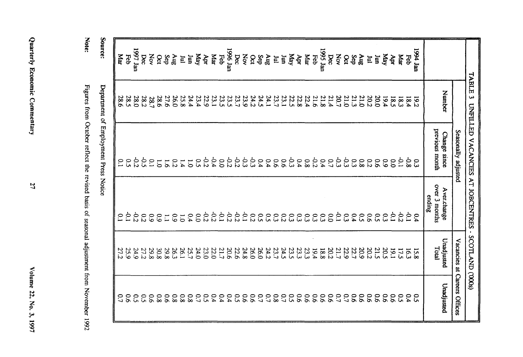|             | <b>TABLE 3</b> | UNFILLED VACANCIES AT JOBCENTRES      | $\blacksquare$                         | SCOTLAND ('000s)    |                                |
|-------------|----------------|---------------------------------------|----------------------------------------|---------------------|--------------------------------|
|             |                | Seasonally adjusted                   |                                        |                     | Vacancies at Careers Offices   |
|             | Number         | previous month<br>Change since        | over 3 months<br>Aver.change<br>ending | Unadjusted<br>Total | Unadjusted                     |
| nst poet    | <b>19.2</b>    | င္ပ                                   | 0.4                                    | 15.8                | $\mathfrak{S}$                 |
| Feb         | 18.4           | -0.8                                  | <u>خ</u>                               | 16.3                | 0.4                            |
| Mar         | 18.3           | $\overline{0}$                        | $\overline{c}$                         | 17.5                | ິດ<br>ທີ                       |
| Apr         | 18.5           | $\overline{0.0}$                      | $\ddot{\circ}$                         | 19.1                | $\overline{6}$                 |
| <b>Vlay</b> | 19.4           | $\overline{6}$                        | ξ                                      | 20.5                | $\overline{9}$                 |
| Ξ           | 20.0           | 9.6                                   | $\tilde{c}$                            | 21.5                | 6.6                            |
| E           | 20.2           | $\overline{c}$                        | $\tilde{5}$                            | 20.2                | 6.6                            |
| <b>any</b>  | 21.0           | $\frac{8}{8}$                         | <u>င</u> ္                             | 20.9                | $\overline{9}$                 |
| Sep         | 21.3           | $\tilde{\omega}$                      | 0.4                                    | 22.7                | $\overline{9}$                 |
| <b>Sct</b>  | 21.0           | ს<br>ო                                | $\frac{0}{3}$                          | 22.9                | $\overline{C}$                 |
| Nov         | 20.7           | ςp                                    | $\frac{6}{1}$                          | 21.7                | $\overline{C}$                 |
| bec         | 21.4           | $\overline{C}$                        | $\overline{00}$                        | 20.2                | $\overline{9}$                 |
| 1995 Jan    | 21.8           | 0.4                                   | $\frac{0}{3}$                          | 8.81                | $\overline{9}$                 |
| Feb         | 21.6           | 55                                    | $\tilde{\omega}$                       | 19.4                | $\overline{90}$                |
| Mar         | 22.4           | $80^{\circ}$                          | $\tilde{\omega}$                       | 23.3                | $\overline{90}$                |
| Apr         | 22.8           | 0.4                                   | $\mathfrak{S}$                         | 23.3                | 90                             |
| May         | 22.5           | င်း                                   | $\tilde{\omega}$                       | 23.5                | $5^{\circ}$                    |
| E<br>ίm     | 23.7<br>23.1   | $\overline{5}$<br>$\overline{5}$      | $\mathfrak{c}_3$<br>$\overline{c}$     | 23.7<br>24.5        | $\overline{C}$<br>$80^{\circ}$ |
| <b>Aug</b>  | 24.1           | 6.4                                   | $\tilde{\mathbf{c}}$                   | 24.2                | $\mathcal{L}^{\bullet}$        |
| Sep         | 24.5           | 0.4                                   | $\tilde{c}$                            | 26.0                | $\overline{C}$                 |
| $\delta$    | 24.2           | ςp                                    | 0.2                                    | 26.0                | $\overline{90}$                |
| Nov         | 23.9           | έç                                    | $\overline{C}$                         | 24.8                | $\overline{9}$                 |
| Dec         | 23.7           | $-0.2$                                | $-0.2$                                 | 22.6                | $5^{\circ}$                    |
| 1996 Jan    | 23.5           | $\frac{5}{5}$                         | $-0.2$                                 | 20.6                | 0.4                            |
| Feb         | 23.5           | $\overline{0.0}$                      | $\overline{0}$                         | 21.7                | 0.4                            |
| Каг         | 23.1           | $-0.4$                                | $-0.2$                                 | 22.0                | 0.4                            |
| Apr         | 22.9           | $\frac{1}{2}$                         | $\overline{c}$                         | 23.0                | 50                             |
| May         | 23.4           | $\tilde{c}$                           | $\overline{0}$                         | 24.0                | $\overline{C}$                 |
| ξ           | 24.4           | $\overline{5}$                        | 0.4                                    | 25.7                | $80^{\circ}$                   |
| E           | 25.8           | 1.4                                   | $\overline{0}$                         | 26.1                | $80^{\circ}$                   |
| $\sin y$    | 26.0           | 0.2                                   | 60                                     | 26.3                | $80^{\circ}$                   |
| Sep         | 27.6           | $\overline{5}$                        | $\overline{L}$                         | 29.8                | $\overline{5}$                 |
| <b>Oct</b>  | 38.6           | $\overline{C}$                        | 60                                     | 30.8                | $80^{\circ}$                   |
| Nov         | 78.7           | $\tilde{C}$                           | 60                                     | 29.8                | $\overline{90}$                |
| bec         | 282            | خ<br>ن                                | $\overline{c}$                         | 27.2                | 50                             |
| 1997 Jan    | 0.82           | $\frac{6}{5}$                         | $\frac{1}{2}$                          | 24.9                | $\mathfrak{S}$                 |
| Feb         | 28.5           | $\tilde{c}$                           | $\dot{\mathbb{C}}$                     | 25.9                | $\overline{90}$                |
| даг         | 28.6           | $\overline{C}$                        | $\tilde{c}$                            | 27<br>IJ            | $\mathfrak{c}$                 |
|             |                |                                       |                                        |                     |                                |
| Source:     |                | Department of Employment Press Notice |                                        |                     |                                |

Quarterly Economic Commentary

Note:

Figures from October reflect the revised basis of seasonal adjustment from November 1992

**Z7** 

Volume 22, No. 3, 1997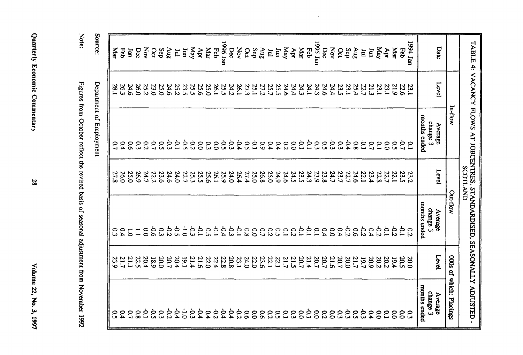| è       |
|---------|
| Į       |
| ֧֜<br>ś |
| ی<br>ŀ  |
|         |
|         |

| <b>Note</b>                                                                                                                                                                                                                    |
|--------------------------------------------------------------------------------------------------------------------------------------------------------------------------------------------------------------------------------|
|                                                                                                                                                                                                                                |
|                                                                                                                                                                                                                                |
|                                                                                                                                                                                                                                |
|                                                                                                                                                                                                                                |
| $\frac{1}{2}$                                                                                                                                                                                                                  |
|                                                                                                                                                                                                                                |
|                                                                                                                                                                                                                                |
|                                                                                                                                                                                                                                |
|                                                                                                                                                                                                                                |
|                                                                                                                                                                                                                                |
| "We come and the come of the complete the second of the second of the second second that the common that the second that the second second the second second that the second second that the second second second the second s |
|                                                                                                                                                                                                                                |
|                                                                                                                                                                                                                                |
| $\frac{1}{2}$<br>ş                                                                                                                                                                                                             |

Source:

Department of Employment

|                   |              | TABLE 4: VACANCY FLOWS AT JOBCENTRES, STANDARDISED, SEASONALLY ADIUSTED | <b>SCOTLAND</b> |                            |                      |                                |
|-------------------|--------------|-------------------------------------------------------------------------|-----------------|----------------------------|----------------------|--------------------------------|
|                   |              | In-flow                                                                 |                 | Out-flow                   | 000s of              | which: Placings                |
| Date              | Level        | Average                                                                 | Level           | Average                    | Level                | Average                        |
|                   |              | months ended<br>change 3                                                |                 | months ended<br>change 3   |                      | months ended<br>change 3       |
| nst poel          | 23.1         | $\approx$                                                               |                 | $\overline{c}$             | $\alpha$             | င္ပ                            |
| Feb               | 22.6         | خ<br>د                                                                  | 23.2<br>23.5    | ċ                          | <b>20.5</b>          | $\overline{0}$                 |
| Nar               | 21.9         | င္ပ                                                                     | 22.1            | $-0.2$                     | 19.4                 | $\overline{0}$                 |
| Apr               | 23.1         | $\overline{0}$                                                          | 22.7            | $\ddot{\circ}$             | 20.2                 | $\tilde{c}$                    |
| Ylay              | 23.1         | $\tilde{C}$                                                             | 22.8            | $-0.2$                     | 20.2                 | $\overline{0}$                 |
| un                | 21.3         | C)                                                                      | 23.4            | 0.4                        | 20.9                 | 0.4                            |
| E                 | 22.7         | Š                                                                       | 22.1            | $-0.2$                     | 19.7                 | ჭ<br>ვ                         |
| gny               | 25.4         | $\overline{80}$                                                         | 24.6            | $\overline{5}$             | 21.7                 | င္ပ                            |
| Sep               | 23.1         | 0.4                                                                     | 22.7            | $-0.2$                     | 0.02                 | م<br>و                         |
| Nov<br><b>Oct</b> | 24.4<br>23.5 | م<br>نا<br>$\tilde{\omega}$                                             | 24.7<br>23.7    | $\overline{0}$<br>0.4      | 21.6<br>20.7         | 0.0<br>$50^{\circ}$            |
| Dec               | 24.6         | <u>င</u> ္ပ                                                             | 23.8            | 0.4                        | 20.7                 | 0.2                            |
| 1995 Jan          | 24.3         | $\mathbb{S}^3$                                                          | 23.9            | $\tilde{c}$                | 00.7                 | $\mathbf{c}$                   |
| Feb               | 24.1         | ξ,                                                                      | 24.3            | ç.                         | 21.4                 | ρ.                             |
| даr               | 24.3         | 5.                                                                      | 23.5            | ç,                         | 20.7<br>21.5         | $\overline{0}$                 |
| Apr               | 24.4         | $\overline{0}$                                                          | 24.5            | $\overline{c}$             |                      | $\tilde{\omega}$               |
| Ylay<br>un        | 25.5<br>24.6 | 0.4<br>$\overline{c}$                                                   | 24.9<br>24.6    | $\tilde{c}$<br>$\tilde{C}$ | 22.1<br>21.7         | $\overline{10}$<br>$\tilde{c}$ |
| E                 | 25.7         | 0.4                                                                     | 25.0            | $\overline{c}$             | 22.1                 | $\overline{c}$                 |
| <b>Sny</b>        | 27.2         | 60                                                                      | 26.8            | $\mathcal{C}^{\prime}$     | 23.6                 | $\overline{90}$                |
| Sep               | 25.1         | ξ,                                                                      | 25.0            | $\overline{0}$             | 22.0                 | $\overline{0.0}$               |
| δct               | 27.3         | $\tilde{c}$                                                             | 27.4            | $80^{\circ}$               | 24.0                 | 9.6                            |
| XOV<br>pec        | 24.2<br>26.1 | خ<br>ت<br>0.4                                                           | 24.0<br>26.4    | င်္င<br>ξP                 | 20.8<br>23.1         | $-0.4$<br>22                   |
| 1996 Jan          | 25.5         | ن<br>ن                                                                  | 25.9            | $-0.4$                     | 22.8                 | $-0.4$                         |
| Feb               | 26.1         | $\overline{0}$                                                          | 26.1            | $\dot{\circ}$              | 22.4                 | 22                             |
| даr               | 25.0         | ဥ                                                                       | 25.6            | $\tilde{\mathbf{c}}$       | 22.0                 | 0.4                            |
| Apr               | 25.6         | $\tilde{c}$                                                             | 25.5            | È                          | 21.6                 | $+0.4$                         |
| May               | 25.5         | $\overline{c}$                                                          | 25.3            | ς,                         | 21.4                 | -0.3                           |
| Ξ<br>E            | 23.5<br>25.2 | م:<br>ن<br>ċ                                                            | 24.0<br>22.7    | $\frac{1}{2}$<br>ن<br>ن    | 20.4<br>19.1         | $\dot{0}$<br>$-0.4$            |
| 8nV               | 24.6         | خ<br>ت                                                                  | 24.6            | $\frac{6}{5}$              | 20.7                 | $-0.2$                         |
| Sep               | 25.0         | $\tilde{c}$                                                             | 23.6            | C<br>C                     | 20.0                 | ဥ                              |
| Οct               | 23.0         | ĊP                                                                      | 22.2            | 9.6                        | 681                  | $\sim$                         |
| XOV               | 25.2         | $\overline{c}$                                                          | 24.7            | $\overline{0}$             | 20.4                 | p.1                            |
| Dec               | 26.0         | $\tilde{\omega}$                                                        | 26.9            | $\Xi$                      | 22.5                 | $80^{\circ}$                   |
| lan               | 24.6         | $\overline{90}$                                                         | 25.0            | $\overline{0}$             |                      | $\mathcal{L}^{\bullet}$        |
| Feb               | 26.3         | 0.4                                                                     | 26.0            | $\overline{0.4}$           | 21.1<br>21.7<br>23.9 | 6.4                            |
| Ка                | 28.1         | $\mathcal{C}$                                                           | 27.8            | ς3                         |                      | <u>ှ</u>                       |

 $\mathcal{L}$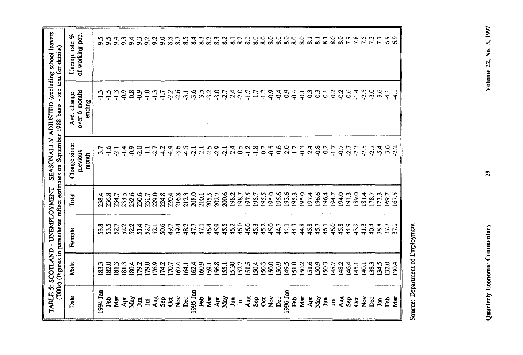|                         |            |        |       | (000s) (Figures in parentheses reflect estimates on September 1988 basis | TABLE 5: SCOTLAND - UNEMPLOYMENT - SEASONALLY ADJUSTED (excluding school leavers | - see text for details)          |
|-------------------------|------------|--------|-------|--------------------------------------------------------------------------|----------------------------------------------------------------------------------|----------------------------------|
| Date                    | Male       | Female | Total | Change since<br>previous<br>month                                        | over 6 months<br>Ave. change<br>ending                                           | of working pop.<br>Unemp. rate % |
| 1994 Jan                | 183.3      | 53.8   | 238.4 |                                                                          | $-1.3$                                                                           | 5.6                              |
| <b>Reb</b>              | 182.0      | 53.5   | 236.8 | $\ddot{5}$                                                               | $-1.5$                                                                           | 5.6                              |
| Mar                     | 181.3      | 52.7   | 234.7 | $-2.1$                                                                   | $-1.3$                                                                           | $\ddot{\sigma}$                  |
| Ąpr                     | 181.3      | 52.2   | 233.5 | $-1.4$                                                                   | <u>၃၃</u>                                                                        | $\mathfrak{S}$                   |
| May                     | 180.4      | 52.2   | 232.6 | $-0.9$                                                                   | $50-$                                                                            | 9.4                              |
| $\mathbf{I}$            | 179.2      | 51.4   | 230.6 | $-2.0$                                                                   | $-0.9$                                                                           | $\mathfrak{S}$                   |
| $\Xi$                   | 179.0      | 52.7   | 231.7 | $\Xi$                                                                    | $-1.0$                                                                           | $\overline{5}$                   |
|                         | 176.9      | 52.1   | 229.0 | 7.7                                                                      | $-1.3$                                                                           | $\sim$                           |
| Aug<br>Sep              | 174.2      | 50.6   | 224.8 | 4.2                                                                      | $\ddot{11}$                                                                      | $\overline{9}0$                  |
| $\overline{\mathrm{C}}$ | 170.7      | 49.7   | 220.4 | 4.4                                                                      | 22                                                                               | $\frac{8}{8}$                    |
| $\sum_{i=1}^{\infty}$   | 167.4      | 49.4   | 216.8 | $-3.6$                                                                   | 2.6                                                                              | 8.7                              |
| <b>Dec</b>              | 164.1      | 48.2   | 212.3 | $\frac{4.5}{4}$                                                          | $\overline{3}$ .                                                                 | $\frac{8.5}{2}$                  |
| 1995 Jan                | 162.4      | 47.7   | 208.0 | $-2.1$                                                                   | $-3.6$                                                                           | 8.4                              |
| Feb                     | 160.9      | 47,1   | 210.1 |                                                                          | 3.5                                                                              | 8.3                              |
| Mar                     | 159.1      | 46.4   | 205.5 | $-2.5$                                                                   | $-3.2$                                                                           | 8.2                              |
| Apr                     | 156.8      | 45.9   | 202.7 |                                                                          | $-3.0$                                                                           | 8.3                              |
| May                     | 155.1      | 45.5   | 200.6 | 2.1                                                                      | 2.7                                                                              | 8.2                              |
| Jum                     | 15.30      | 45.2   | 198.2 | $-2.4$                                                                   | $-2.4$                                                                           | $\overline{3}$                   |
| $\Xi$                   | 152.7      | 46.0   | 198.7 | $\tilde{c}$                                                              | $-2.0$                                                                           | $\overline{8.2}$                 |
| Aug                     | 151.5      | 46.0   | 197.5 | $-1.2$                                                                   | $-1.7$                                                                           | 8.1                              |
| Sep<br>Oct              | 150.4      | 45.3   | 195.7 | $-1.8$                                                                   | $-1.7$                                                                           | $\overline{\phantom{0}8.0}$      |
|                         | 150.3      | 45.2   | 195.5 | $-0.2$                                                                   | $-1.2$                                                                           | 8.0                              |
| $\check{\mathsf{z}}$    | 150.0      | 45.0   | 195.0 | 0.5                                                                      | $-0.9$                                                                           | 8.0                              |
| Dec                     | 150.9      | 4.7    | 195.6 |                                                                          | $-0.4$                                                                           | $\overline{\infty}$              |
| 1996 Jan                | 149.5      | 41     | 193.6 | 2.0                                                                      | $-0.9$                                                                           | $\overline{\mathbf{8.0}}$        |
| Feb                     | 151.0      | 44.3   | 195.3 | 1.7                                                                      | $-0.4$                                                                           | 8.0                              |
| Mar                     | <b>SO2</b> | 44.8   | 195.0 | $-0.3$                                                                   | $\overline{Q}$                                                                   | 8.0                              |
| Apr                     | 151.6      | 45.8   | 197.4 | 2.4                                                                      | $\mathbb{S}^3$                                                                   | $\overline{8.1}$                 |
| May                     | 150.9      | 45.7   | 196.6 | $-0.8$                                                                   | $\frac{3}{2}$                                                                    | $\overline{8}$                   |
| Jun                     | 150.3      | 46.1   | 196.4 | $-0.2$                                                                   | $\overline{c}$                                                                   | $\overline{8}$                   |
| $\Xi$                   | 148.7      | 46.0   | 194.7 | $-1.7$                                                                   | 0.2                                                                              | 8.0                              |
|                         | 148.2      | 45.8   | 194.0 | -0.7                                                                     | $-0.2$                                                                           | $\overline{8.0}$                 |
| Aug<br>Sep              | 146.4      | 44.9   | 191.3 | 2.7                                                                      | $-0.6$                                                                           | 7.9                              |
| $\overline{c}$          | 145.1      | 43.9   | 189.0 | 2.3                                                                      | $-1.4$                                                                           | $\overline{7.8}$                 |
| $\frac{\delta}{2}$      | 140.1      | 41.3   | 181.4 | .7.5                                                                     | $-2.5$                                                                           | $\overline{7.5}$                 |
| Dec                     | 138.3      | 40.4   | 178.7 | 2.7                                                                      | $-3.0$                                                                           | 73                               |
| Jan                     | 134.5      | 38.8   | 173.3 | 5.4                                                                      | $-3.6$                                                                           | $\overline{71}$                  |
| Feb                     | 132.0      | 37.7   | 169.7 | 3.6                                                                      | $\frac{1}{4}$                                                                    | 6.9                              |
| <b>Nar</b>              | 30.4       | 37.1   | 67.5  |                                                                          | ੍ਰ                                                                               | $\frac{6}{3}$                    |

Source: Department of Employment

 $29$ 

Quarterly Economic Commentary